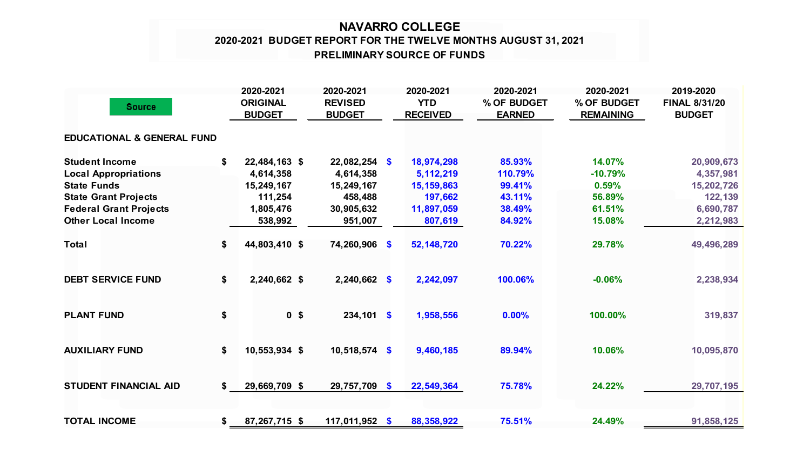## **NAVARRO COLLEGE PRELIMINARY SOURCE OF FUNDS 2020-2021 BUDGET REPORT FOR THE TWELVE MONTHS AUGUST 31, 2021**

| <b>Source</b>                         | 2020-2021<br><b>ORIGINAL</b><br><b>BUDGET</b> | 2020-2021<br><b>REVISED</b><br><b>BUDGET</b> | 2020-2021<br><b>YTD</b><br><b>RECEIVED</b> | 2020-2021<br>% OF BUDGET<br><b>EARNED</b> | 2020-2021<br>% OF BUDGET<br><b>REMAINING</b> | 2019-2020<br><b>FINAL 8/31/20</b><br><b>BUDGET</b> |
|---------------------------------------|-----------------------------------------------|----------------------------------------------|--------------------------------------------|-------------------------------------------|----------------------------------------------|----------------------------------------------------|
| <b>EDUCATIONAL &amp; GENERAL FUND</b> |                                               |                                              |                                            |                                           |                                              |                                                    |
| <b>Student Income</b>                 | \$<br>22,484,163 \$                           | $22,082,254$ \$                              | 18,974,298                                 | 85.93%                                    | 14.07%                                       | 20,909,673                                         |
| <b>Local Appropriations</b>           | 4,614,358                                     | 4,614,358                                    | 5,112,219                                  | 110.79%                                   | $-10.79%$                                    | 4,357,981                                          |
| <b>State Funds</b>                    | 15,249,167                                    | 15,249,167                                   | 15, 159, 863                               | 99.41%                                    | 0.59%                                        | 15,202,726                                         |
| <b>State Grant Projects</b>           | 111,254                                       | 458,488                                      | 197,662                                    | 43.11%                                    | 56.89%                                       | 122,139                                            |
| <b>Federal Grant Projects</b>         | 1,805,476                                     | 30,905,632                                   | 11,897,059                                 | 38.49%                                    | 61.51%                                       | 6,690,787                                          |
| <b>Other Local Income</b>             | 538,992                                       | 951,007                                      | 807,619                                    | 84.92%                                    | 15.08%                                       | 2,212,983                                          |
| <b>Total</b>                          | \$<br>44,803,410 \$                           | 74,260,906 \$                                | 52,148,720                                 | 70.22%                                    | 29.78%                                       | 49,496,289                                         |
| <b>DEBT SERVICE FUND</b>              | \$<br>2,240,662 \$                            | $2,240,662$ \$                               | 2,242,097                                  | 100.06%                                   | $-0.06%$                                     | 2,238,934                                          |
| <b>PLANT FUND</b>                     | \$<br>0 <sup>5</sup>                          | $234,101$ \$                                 | 1,958,556                                  | 0.00%                                     | 100.00%                                      | 319,837                                            |
| <b>AUXILIARY FUND</b>                 | \$<br>10,553,934 \$                           | $10,518,574$ \$                              | 9,460,185                                  | 89.94%                                    | 10.06%                                       | 10,095,870                                         |
| <b>STUDENT FINANCIAL AID</b>          | \$<br>29,669,709 \$                           | 29,757,709 \$                                | 22,549,364                                 | 75.78%                                    | 24.22%                                       | 29,707,195                                         |
| <b>TOTAL INCOME</b>                   | \$<br>87,267,715 \$                           | 117,011,952 \$                               | 88,358,922                                 | 75.51%                                    | 24.49%                                       | 91,858,125                                         |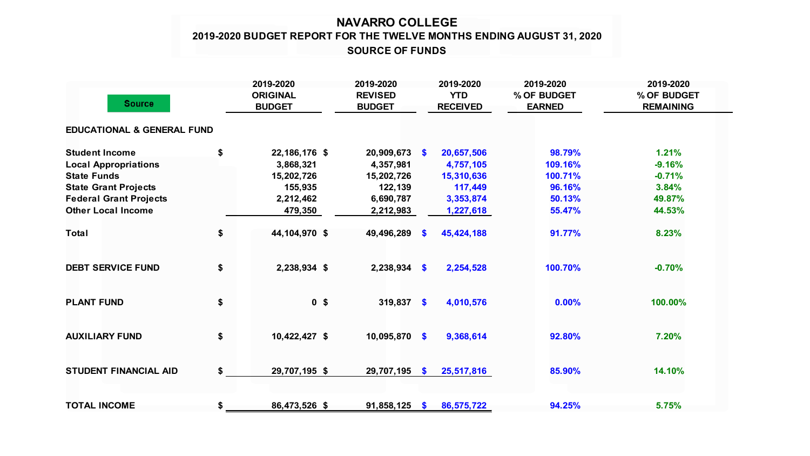## **NAVARRO COLLEGE 2019-2020 BUDGET REPORT FOR THE TWELVE MONTHS ENDING AUGUST 31, 2020 SOURCE OF FUNDS**

| <b>Source</b>                         |    | 2019-2020<br><b>ORIGINAL</b><br><b>BUDGET</b> | 2019-2020<br><b>REVISED</b><br><b>BUDGET</b> |               | 2019-2020<br><b>YTD</b><br><b>RECEIVED</b> | 2019-2020<br>% OF BUDGET<br><b>EARNED</b> | 2019-2020<br>% OF BUDGET<br><b>REMAINING</b> |  |
|---------------------------------------|----|-----------------------------------------------|----------------------------------------------|---------------|--------------------------------------------|-------------------------------------------|----------------------------------------------|--|
| <b>EDUCATIONAL &amp; GENERAL FUND</b> |    |                                               |                                              |               |                                            |                                           |                                              |  |
| <b>Student Income</b>                 | \$ | 22, 186, 176 \$                               | $20,909,673$ \$                              |               | 20,657,506                                 | 98.79%                                    | 1.21%                                        |  |
| <b>Local Appropriations</b>           |    | 3,868,321                                     | 4,357,981                                    |               | 4,757,105                                  | 109.16%                                   | $-9.16%$                                     |  |
| <b>State Funds</b>                    |    | 15,202,726                                    | 15,202,726                                   |               | 15,310,636                                 | 100.71%                                   | $-0.71%$                                     |  |
| <b>State Grant Projects</b>           |    | 155,935                                       | 122,139                                      |               | 117,449                                    | 96.16%                                    | 3.84%                                        |  |
| <b>Federal Grant Projects</b>         |    | 2,212,462                                     | 6,690,787                                    |               | 3,353,874                                  | 50.13%                                    | 49.87%                                       |  |
| <b>Other Local Income</b>             |    | 479,350                                       | 2,212,983                                    |               | 1,227,618                                  | 55.47%                                    | 44.53%                                       |  |
| <b>Total</b>                          | \$ | 44,104,970 \$                                 | 49,496,289                                   | <b>S</b>      | 45,424,188                                 | 91.77%                                    | 8.23%                                        |  |
| <b>DEBT SERVICE FUND</b>              | \$ | 2,238,934 \$                                  | $2,238,934$ \$                               |               | 2,254,528                                  | 100.70%                                   | $-0.70%$                                     |  |
| <b>PLANT FUND</b>                     | \$ | 0 <sup>5</sup>                                | $319,837$ \$                                 |               | 4,010,576                                  | 0.00%                                     | 100.00%                                      |  |
| <b>AUXILIARY FUND</b>                 | \$ | 10,422,427 \$                                 | 10,095,870                                   | $\mathbf{\$}$ | 9,368,614                                  | 92.80%                                    | 7.20%                                        |  |
| <b>STUDENT FINANCIAL AID</b>          | \$ | 29,707,195 \$                                 | 29,707,195 \$                                |               | 25,517,816                                 | 85.90%                                    | 14.10%                                       |  |
| <b>TOTAL INCOME</b>                   | \$ | 86,473,526 \$                                 | $91,858,125$ \$                              |               | 86,575,722                                 | 94.25%                                    | 5.75%                                        |  |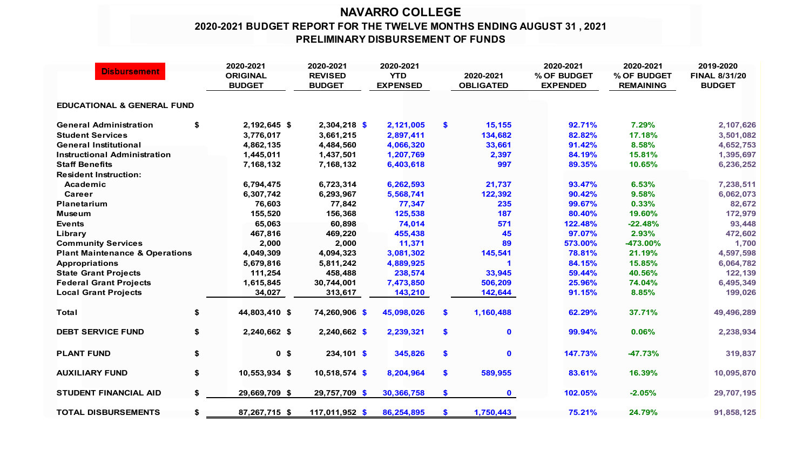## **NAVARRO COLLEGE 2020-2021 BUDGET REPORT FOR THE TWELVE MONTHS ENDING AUGUST 31 , 2021 PRELIMINARY DISBURSEMENT OF FUNDS**

| <b>Disbursement</b>                       | 2020-2021 |                                  | 2020-2021                       | 2020-2021                     |               |                               | 2020-2021                      | 2020-2021                       | 2019-2020                             |
|-------------------------------------------|-----------|----------------------------------|---------------------------------|-------------------------------|---------------|-------------------------------|--------------------------------|---------------------------------|---------------------------------------|
|                                           |           | <b>ORIGINAL</b><br><b>BUDGET</b> | <b>REVISED</b><br><b>BUDGET</b> | <b>YTD</b><br><b>EXPENSED</b> |               | 2020-2021<br><b>OBLIGATED</b> | % OF BUDGET<br><b>EXPENDED</b> | % OF BUDGET<br><b>REMAINING</b> | <b>FINAL 8/31/20</b><br><b>BUDGET</b> |
| <b>EDUCATIONAL &amp; GENERAL FUND</b>     |           |                                  |                                 |                               |               |                               |                                |                                 |                                       |
| <b>General Administration</b>             | \$        | 2,192,645 \$                     | $2,304,218$ \$                  | 2,121,005                     | \$            | 15,155                        | 92.71%                         | 7.29%                           | 2,107,626                             |
| <b>Student Services</b>                   |           | 3,776,017                        | 3,661,215                       | 2,897,411                     |               | 134,682                       | 82.82%                         | 17.18%                          | 3,501,082                             |
| <b>General Institutional</b>              |           | 4,862,135                        | 4,484,560                       | 4,066,320                     |               | 33,661                        | 91.42%                         | 8.58%                           | 4,652,753                             |
| <b>Instructional Administration</b>       |           | 1,445,011                        | 1,437,501                       | 1,207,769                     |               | 2,397                         | 84.19%                         | 15.81%                          | 1,395,697                             |
| <b>Staff Benefits</b>                     |           | 7,168,132                        | 7,168,132                       | 6,403,618                     |               | 997                           | 89.35%                         | 10.65%                          | 6,236,252                             |
| <b>Resident Instruction:</b>              |           |                                  |                                 |                               |               |                               |                                |                                 |                                       |
| Academic                                  |           | 6,794,475                        | 6,723,314                       | 6,262,593                     |               | 21,737                        | 93.47%                         | 6.53%                           | 7,238,511                             |
| Career                                    |           | 6,307,742                        | 6,293,967                       | 5,568,741                     |               | 122,392                       | 90.42%                         | 9.58%                           | 6,062,073                             |
| Planetarium                               |           | 76,603                           | 77,842                          | 77,347                        |               | 235                           | 99.67%                         | 0.33%                           | 82,672                                |
| <b>Museum</b>                             |           | 155,520                          | 156,368                         | 125,538                       |               | 187                           | 80.40%                         | 19.60%                          | 172,979                               |
| <b>Events</b>                             |           | 65,063                           | 60,898                          | 74,014                        |               | 571                           | 122.48%                        | $-22.48%$                       | 93,448                                |
| Library                                   |           | 467,816                          | 469,220                         | 455,438                       |               | 45                            | 97.07%                         | 2.93%                           | 472,602                               |
| <b>Community Services</b>                 |           | 2,000                            | 2,000                           | 11,371                        |               | 89                            | 573.00%                        | $-473.00\%$                     | 1,700                                 |
| <b>Plant Maintenance &amp; Operations</b> |           | 4,049,309                        | 4,094,323                       | 3,081,302                     |               | 145,541                       | 78.81%                         | 21.19%                          | 4,597,598                             |
| <b>Appropriations</b>                     |           | 5,679,816                        | 5,811,242                       | 4,889,925                     |               |                               | 84.15%                         | 15.85%                          | 6,064,782                             |
| <b>State Grant Projects</b>               |           | 111,254                          | 458,488                         | 238,574                       |               | 33,945                        | 59.44%                         | 40.56%                          | 122,139                               |
| <b>Federal Grant Projects</b>             |           | 1,615,845                        | 30,744,001                      | 7,473,850                     |               | 506,209                       | 25.96%                         | 74.04%                          | 6,495,349                             |
| <b>Local Grant Projects</b>               |           | 34,027                           | 313,617                         | 143,210                       |               | 142,644                       | 91.15%                         | 8.85%                           | 199,026                               |
| Total                                     | \$        | 44,803,410 \$                    | 74,260,906 \$                   | 45,098,026                    | \$            | 1,160,488                     | 62.29%                         | 37.71%                          | 49,496,289                            |
| <b>DEBT SERVICE FUND</b>                  | \$        | 2,240,662 \$                     | $2,240,662$ \$                  | 2,239,321                     | \$            | $\mathbf 0$                   | 99.94%                         | 0.06%                           | 2,238,934                             |
| <b>PLANT FUND</b>                         | \$        | 0 <sup>5</sup>                   | 234,101 \$                      | 345,826                       | $\mathbf{\$}$ | $\mathbf 0$                   | 147.73%                        | $-47.73%$                       | 319,837                               |
| <b>AUXILIARY FUND</b>                     | \$        | 10,553,934 \$                    | $10,518,574$ \$                 | 8,204,964                     | \$            | 589,955                       | 83.61%                         | 16.39%                          | 10,095,870                            |
| <b>STUDENT FINANCIAL AID</b>              | \$        | 29,669,709 \$                    | 29,757,709 \$                   | 30,366,758                    | $\mathbf{\$}$ | $\mathbf 0$                   | 102.05%                        | $-2.05%$                        | 29,707,195                            |
| <b>TOTAL DISBURSEMENTS</b>                | \$        | 87,267,715 \$                    | 117,011,952 \$                  | 86,254,895                    | \$.           | 1,750,443                     | 75.21%                         | 24.79%                          | 91,858,125                            |